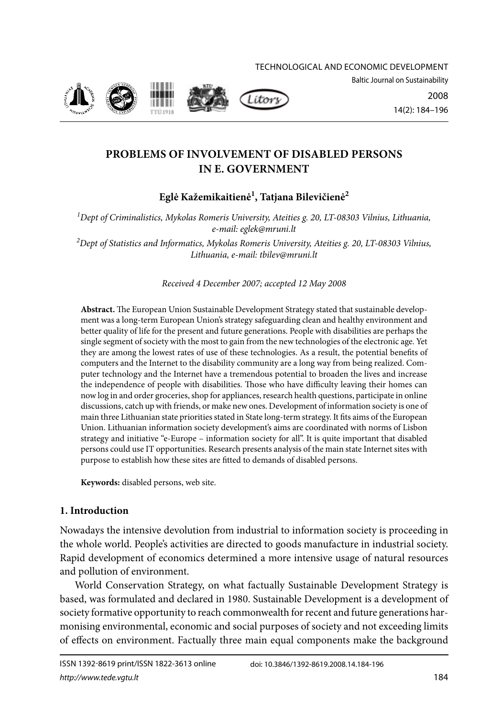Technological and economic development





Baltic Journal on Sustainability

2008 14(2): 184–196

# **PROBLEMS OF INVOLVEMENT OF DISABLED PERSONS IN e. GOVERNMENT**

**Eglė Kažemikaitienė1 , Tatjana Bilevičienė2**

*1 Dept of Criminalistics, Mykolas Romeris University, Ateities g. 20, LT-08303 Vilnius, Lithuania, e-mail: eglek@mruni.lt*

*2 Dept of Statistics and Informatics, Mykolas Romeris University, Ateities g. 20, LT-08303 Vilnius, Lithuania, e-mail: tbilev@mruni.lt*

*Received 4 December 2007; accepted 12 May 2008*

**Abstract.** The European Union Sustainable Development Strategy stated that sustainable development was a long-term European Union's strategy safeguarding clean and healthy environment and better quality of life for the present and future generations. People with disabilities are perhaps the single segment of society with the most to gain from the new technologies of the electronic age. Yet they are among the lowest rates of use of these technologies. As a result, the potential benefits of computers and the Internet to the disability community are a long way from being realized. Computer technology and the Internet have a tremendous potential to broaden the lives and increase the independence of people with disabilities. Those who have difficulty leaving their homes can now log in and order groceries, shop for appliances, research health questions, participate in online discussions, catch up with friends, or make new ones. Development of information society is one of main three Lithuanian state priorities stated in State long-term strategy. It fits aims of the European Union. Lithuanian information society development's aims are coordinated with norms of Lisbon strategy and initiative "e-Europe – information society for all". It is quite important that disabled persons could use IT opportunities. Research presents analysis of the main state Internet sites with purpose to establish how these sites are fitted to demands of disabled persons.

**Keywords:** disabled persons, web site.

# **1. Introduction**

Nowadays the intensive devolution from industrial to information society is proceeding in the whole world. People's activities are directed to goods manufacture in industrial society. Rapid development of economics determined a more intensive usage of natural resources and pollution of environment.

World Conservation Strategy, on what factually Sustainable Development Strategy is based, was formulated and declared in 1980. Sustainable Development is a development of society formative opportunity to reach commonwealth for recent and future generations harmonising environmental, economic and social purposes of society and not exceeding limits of effects on environment. Factually three main equal components make the background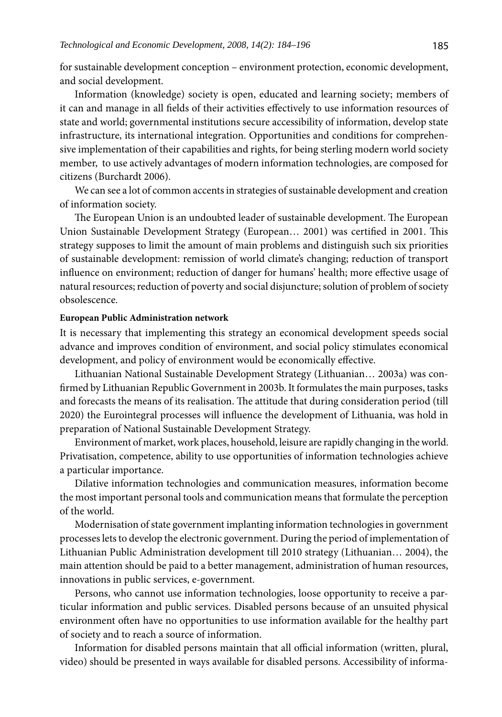for sustainable development conception – environment protection, economic development, and social development.

Information (knowledge) society is open, educated and learning society; members of it can and manage in all fields of their activities effectively to use information resources of state and world; governmental institutions secure accessibility of information, develop state infrastructure, its international integration. Opportunities and conditions for comprehensive implementation of their capabilities and rights, for being sterling modern world society member, to use actively advantages of modern information technologies, are composed for citizens (Burchardt 2006).

We can see a lot of common accents in strategies of sustainable development and creation of information society.

The European Union is an undoubted leader of sustainable development. The European Union Sustainable Development Strategy (European… 2001) was certified in 2001. This strategy supposes to limit the amount of main problems and distinguish such six priorities of sustainable development: remission of world climate's changing; reduction of transport influence on environment; reduction of danger for humans' health; more effective usage of natural resources; reduction of poverty and social disjuncture; solution of problem of society obsolescence.

#### **European Public Administration network**

It is necessary that implementing this strategy an economical development speeds social advance and improves condition of environment, and social policy stimulates economical development, and policy of environment would be economically effective.

Lithuanian National Sustainable Development Strategy (Lithuanian… 2003a) was confirmed by Lithuanian Republic Government in 2003b. It formulates the main purposes, tasks and forecasts the means of its realisation. The attitude that during consideration period (till 2020) the Eurointegral processes will influence the development of Lithuania, was hold in preparation of National Sustainable Development Strategy.

Environment of market, work places, household, leisure are rapidly changing in the world. Privatisation, competence, ability to use opportunities of information technologies achieve a particular importance.

Dilative information technologies and communication measures, information become the most important personal tools and communication means that formulate the perception of the world.

Modernisation of state government implanting information technologies in government processes lets to develop the electronic government. During the period of implementation of Lithuanian Public Administration development till 2010 strategy (Lithuanian… 2004), the main attention should be paid to a better management, administration of human resources, innovations in public services, e-government.

Persons, who cannot use information technologies, loose opportunity to receive a particular information and public services. Disabled persons because of an unsuited physical environment often have no opportunities to use information available for the healthy part of society and to reach a source of information.

Information for disabled persons maintain that all official information (written, plural, video) should be presented in ways available for disabled persons. Accessibility of informa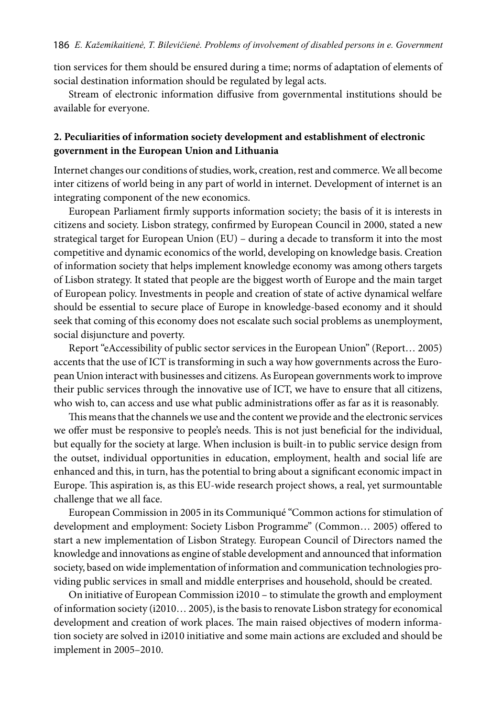tion services for them should be ensured during a time; norms of adaptation of elements of social destination information should be regulated by legal acts.

Stream of electronic information diffusive from governmental institutions should be available for everyone.

# **2. Peculiarities of information society development and establishment of electronic government in the European Union and Lithuania**

Internet changes our conditions of studies, work, creation, rest and commerce. We all become inter citizens of world being in any part of world in internet. Development of internet is an integrating component of the new economics.

European Parliament firmly supports information society; the basis of it is interests in citizens and society. Lisbon strategy, confirmed by European Council in 2000, stated a new strategical target for European Union (EU) – during a decade to transform it into the most competitive and dynamic economics of the world, developing on knowledge basis. Creation of information society that helps implement knowledge economy was among others targets of Lisbon strategy. It stated that people are the biggest worth of Europe and the main target of European policy. Investments in people and creation of state of active dynamical welfare should be essential to secure place of Europe in knowledge-based economy and it should seek that coming of this economy does not escalate such social problems as unemployment, social disjuncture and poverty.

Report "eAccessibility of public sector services in the European Union" (Report… 2005) accents that the use of ICT is transforming in such a way how governments across the European Union interact with businesses and citizens. As European governments work to improve their public services through the innovative use of ICT, we have to ensure that all citizens, who wish to, can access and use what public administrations offer as far as it is reasonably.

This means that the channels we use and the content we provide and the electronic services we offer must be responsive to people's needs. This is not just beneficial for the individual, but equally for the society at large. When inclusion is built-in to public service design from the outset, individual opportunities in education, employment, health and social life are enhanced and this, in turn, has the potential to bring about a significant economic impact in Europe. This aspiration is, as this EU-wide research project shows, a real, yet surmountable challenge that we all face.

European Commission in 2005 in its Communiqué "Common actions for stimulation of development and employment: Society Lisbon Programme" (Common… 2005) offered to start a new implementation of Lisbon Strategy. European Council of Directors named the knowledge and innovations as engine of stable development and announced that information society, based on wide implementation of information and communication technologies providing public services in small and middle enterprises and household, should be created.

On initiative of European Commission i2010 – to stimulate the growth and employment of information society (i2010… 2005), is the basis to renovate Lisbon strategy for economical development and creation of work places. The main raised objectives of modern information society are solved in i2010 initiative and some main actions are excluded and should be implement in 2005–2010.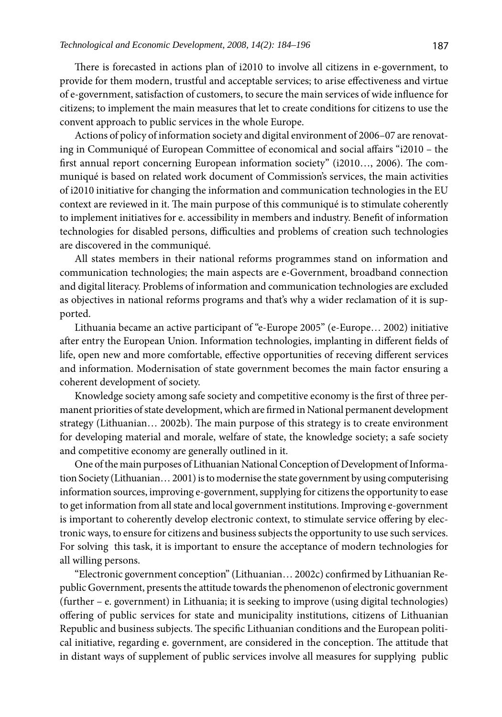There is forecasted in actions plan of i2010 to involve all citizens in e-government, to provide for them modern, trustful and acceptable services; to arise effectiveness and virtue of e-government, satisfaction of customers, to secure the main services of wide influence for citizens; to implement the main measures that let to create conditions for citizens to use the convent approach to public services in the whole Europe.

Actions of policy of information society and digital environment of 2006–07 are renovating in Communiqué of European Committee of economical and social affairs "i2010 – the first annual report concerning European information society" (i2010…, 2006). The communiqué is based on related work document of Commission's services, the main activities of i2010 initiative for changing the information and communication technologies in the EU context are reviewed in it. The main purpose of this communiqué is to stimulate coherently to implement initiatives for e. accessibility in members and industry. Benefit of information technologies for disabled persons, difficulties and problems of creation such technologies are discovered in the communiqué.

All states members in their national reforms programmes stand on information and communication technologies; the main aspects are e-Government, broadband connection and digital literacy. Problems of information and communication technologies are excluded as objectives in national reforms programs and that's why a wider reclamation of it is supported.

Lithuania became an active participant of "e-Europe 2005" (e-Europe… 2002) initiative after entry the European Union. Information technologies, implanting in different fields of life, open new and more comfortable, effective opportunities of receving different services and information. Modernisation of state government becomes the main factor ensuring a coherent development of society.

Knowledge society among safe society and competitive economy is the first of three permanent priorities of state development, which are firmed in National permanent development strategy (Lithuanian… 2002b). The main purpose of this strategy is to create environment for developing material and morale, welfare of state, the knowledge society; a safe society and competitive economy are generally outlined in it.

One of the main purposes of Lithuanian National Conception of Development of Information Society (Lithuanian… 2001) is to modernise the state government by using computerising information sources, improving e-government, supplying for citizens the opportunity to ease to get information from all state and local government institutions. Improving e-government is important to coherently develop electronic context, to stimulate service offering by electronic ways, to ensure for citizens and business subjects the opportunity to use such services. For solving this task, it is important to ensure the acceptance of modern technologies for all willing persons.

"Electronic government conception" (Lithuanian… 2002c) confirmed by Lithuanian Republic Government, presents the attitude towards the phenomenon of electronic government (further – e. government) in Lithuania; it is seeking to improve (using digital technologies) offering of public services for state and municipality institutions, citizens of Lithuanian Republic and business subjects. The specific Lithuanian conditions and the European political initiative, regarding e. government, are considered in the conception. The attitude that in distant ways of supplement of public services involve all measures for supplying public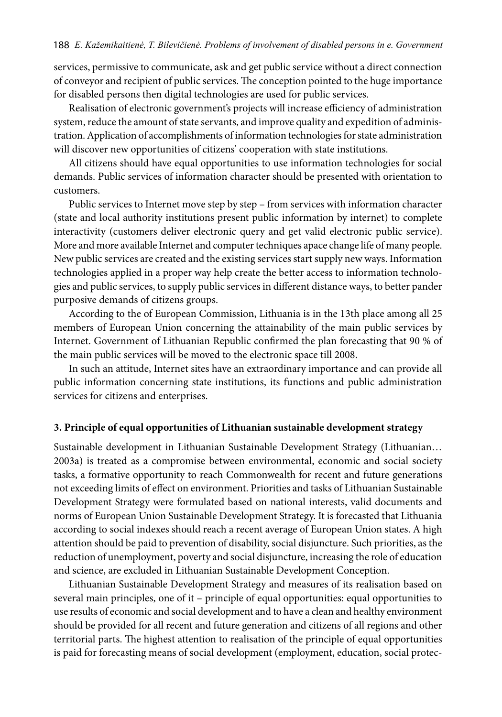services, permissive to communicate, ask and get public service without a direct connection of conveyor and recipient of public services. The conception pointed to the huge importance for disabled persons then digital technologies are used for public services.

Realisation of electronic government's projects will increase efficiency of administration system, reduce the amount of state servants, and improve quality and expedition of administration. Application of accomplishments of information technologies for state administration will discover new opportunities of citizens' cooperation with state institutions.

All citizens should have equal opportunities to use information technologies for social demands. Public services of information character should be presented with orientation to customers.

Public services to Internet move step by step – from services with information character (state and local authority institutions present public information by internet) to complete interactivity (customers deliver electronic query and get valid electronic public service). More and more available Internet and computer techniques apace change life of many people. New public services are created and the existing services start supply new ways. Information technologies applied in a proper way help create the better access to information technologies and public services, to supply public services in different distance ways, to better pander purposive demands of citizens groups.

According to the of European Commission, Lithuania is in the 13th place among all 25 members of European Union concerning the attainability of the main public services by Internet. Government of Lithuanian Republic confirmed the plan forecasting that 90 % of the main public services will be moved to the electronic space till 2008.

In such an attitude, Internet sites have an extraordinary importance and can provide all public information concerning state institutions, its functions and public administration services for citizens and enterprises.

# **3. Principle of equal opportunities of Lithuanian sustainable development strategy**

Sustainable development in Lithuanian Sustainable Development Strategy (Lithuanian… 2003a) is treated as a compromise between environmental, economic and social society tasks, a formative opportunity to reach Commonwealth for recent and future generations not exceeding limits of effect on environment. Priorities and tasks of Lithuanian Sustainable Development Strategy were formulated based on national interests, valid documents and norms of European Union Sustainable Development Strategy. It is forecasted that Lithuania according to social indexes should reach a recent average of European Union states. A high attention should be paid to prevention of disability, social disjuncture. Such priorities, as the reduction of unemployment, poverty and social disjuncture, increasing the role of education and science, are excluded in Lithuanian Sustainable Development Conception.

Lithuanian Sustainable Development Strategy and measures of its realisation based on several main principles, one of it – principle of equal opportunities: equal opportunities to use results of economic and social development and to have a clean and healthy environment should be provided for all recent and future generation and citizens of all regions and other territorial parts. The highest attention to realisation of the principle of equal opportunities is paid for forecasting means of social development (employment, education, social protec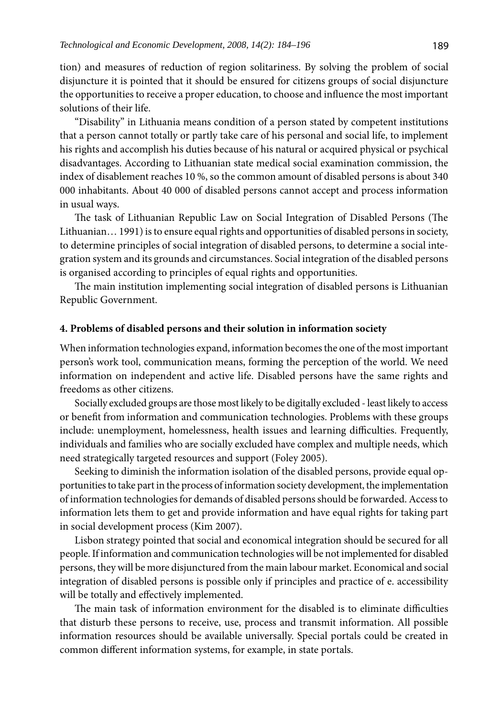tion) and measures of reduction of region solitariness. By solving the problem of social disjuncture it is pointed that it should be ensured for citizens groups of social disjuncture the opportunities to receive a proper education, to choose and influence the most important solutions of their life.

"Disability" in Lithuania means condition of a person stated by competent institutions that a person cannot totally or partly take care of his personal and social life, to implement his rights and accomplish his duties because of his natural or acquired physical or psychical disadvantages. According to Lithuanian state medical social examination commission, the index of disablement reaches 10 %, so the common amount of disabled persons is about 340 000 inhabitants. About 40 000 of disabled persons cannot accept and process information in usual ways.

The task of Lithuanian Republic Law on Social Integration of Disabled Persons (The Lithuanian… 1991) is to ensure equal rights and opportunities of disabled persons in society, to determine principles of social integration of disabled persons, to determine a social integration system and its grounds and circumstances. Social integration of the disabled persons is organised according to principles of equal rights and opportunities.

The main institution implementing social integration of disabled persons is Lithuanian Republic Government.

#### **4. Problems of disabled persons and their solution in information society**

When information technologies expand, information becomes the one of the most important person's work tool, communication means, forming the perception of the world. We need information on independent and active life. Disabled persons have the same rights and freedoms as other citizens.

Socially excluded groups are those most likely to be digitally excluded - least likely to access or benefit from information and communication technologies. Problems with these groups include: unemployment, homelessness, health issues and learning difficulties. Frequently, individuals and families who are socially excluded have complex and multiple needs, which need strategically targeted resources and support (Foley 2005).

Seeking to diminish the information isolation of the disabled persons, provide equal opportunities to take part in the process of information society development, the implementation of information technologies for demands of disabled persons should be forwarded. Access to information lets them to get and provide information and have equal rights for taking part in social development process (Kim 2007).

Lisbon strategy pointed that social and economical integration should be secured for all people. If information and communication technologies will be not implemented for disabled persons, they will be more disjunctured from the main labour market. Economical and social integration of disabled persons is possible only if principles and practice of e. accessibility will be totally and effectively implemented.

The main task of information environment for the disabled is to eliminate difficulties that disturb these persons to receive, use, process and transmit information. All possible information resources should be available universally. Special portals could be created in common different information systems, for example, in state portals.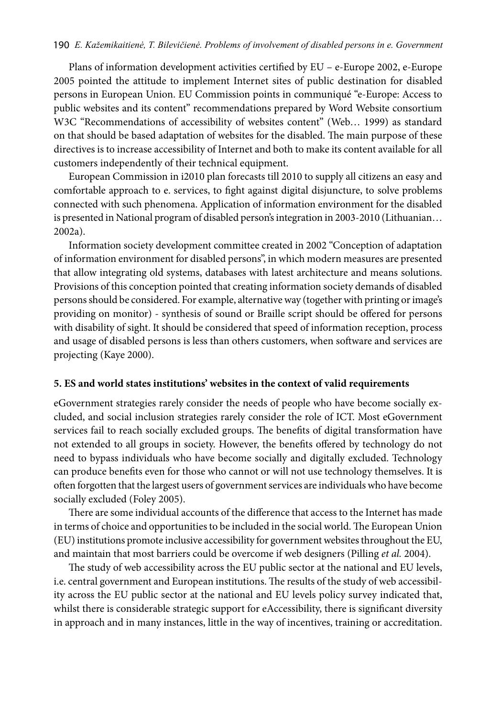Plans of information development activities certified by EU – e-Europe 2002, e-Europe 2005 pointed the attitude to implement Internet sites of public destination for disabled persons in European Union. EU Commission points in communiqué "e-Europe: Access to public websites and its content" recommendations prepared by Word Website consortium W3C "Recommendations of accessibility of websites content" (Web… 1999) as standard on that should be based adaptation of websites for the disabled. The main purpose of these directives is to increase accessibility of Internet and both to make its content available for all customers independently of their technical equipment.

European Commission in i2010 plan forecasts till 2010 to supply all citizens an easy and comfortable approach to e. services, to fight against digital disjuncture, to solve problems connected with such phenomena. Application of information environment for the disabled is presented in National program of disabled person's integration in 2003-2010 (Lithuanian… 2002a).

Information society development committee created in 2002 "Conception of adaptation of information environment for disabled persons", in which modern measures are presented that allow integrating old systems, databases with latest architecture and means solutions. Provisions of this conception pointed that creating information society demands of disabled persons should be considered. For example, alternative way (together with printing or image's providing on monitor) - synthesis of sound or Braille script should be offered for persons with disability of sight. It should be considered that speed of information reception, process and usage of disabled persons is less than others customers, when software and services are projecting (Kaye 2000).

### **5. ES and world states institutions' websites in the context of valid requirements**

eGovernment strategies rarely consider the needs of people who have become socially excluded, and social inclusion strategies rarely consider the role of ICT. Most eGovernment services fail to reach socially excluded groups. The benefits of digital transformation have not extended to all groups in society. However, the benefits offered by technology do not need to bypass individuals who have become socially and digitally excluded. Technology can produce benefits even for those who cannot or will not use technology themselves. It is often forgotten that the largest users of government services are individuals who have become socially excluded (Foley 2005).

There are some individual accounts of the difference that access to the Internet has made in terms of choice and opportunities to be included in the social world. The European Union (EU) institutions promote inclusive accessibility for government websites throughout the EU, and maintain that most barriers could be overcome if web designers (Pilling *et al.* 2004).

The study of web accessibility across the EU public sector at the national and EU levels, i.e. central government and European institutions. The results of the study of web accessibility across the EU public sector at the national and EU levels policy survey indicated that, whilst there is considerable strategic support for eAccessibility, there is significant diversity in approach and in many instances, little in the way of incentives, training or accreditation.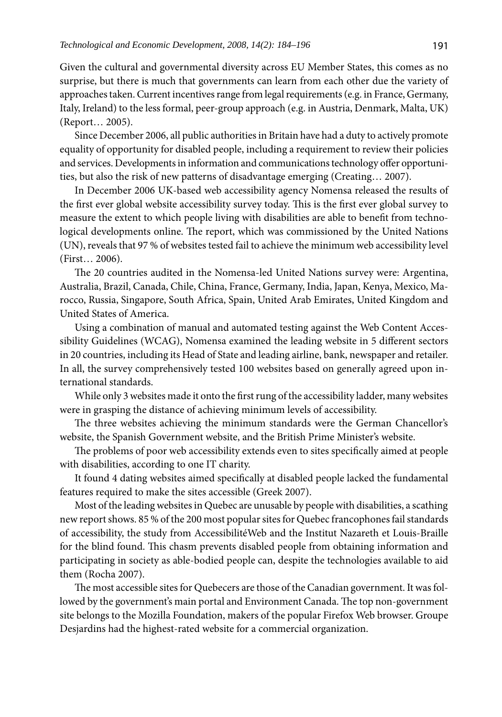Given the cultural and governmental diversity across EU Member States, this comes as no surprise, but there is much that governments can learn from each other due the variety of approaches taken. Current incentives range from legal requirements (e.g. in France, Germany, Italy, Ireland) to the less formal, peer-group approach (e.g. in Austria, Denmark, Malta, UK) (Report… 2005).

Since December 2006, all public authorities in Britain have had a duty to actively promote equality of opportunity for disabled people, including a requirement to review their policies and services. Developments in information and communications technology offer opportunities, but also the risk of new patterns of disadvantage emerging (Creating… 2007).

In December 2006 UK-based web accessibility agency Nomensa released the results of the first ever global website accessibility survey today. This is the first ever global survey to measure the extent to which people living with disabilities are able to benefit from technological developments online. The report, which was commissioned by the United Nations (UN), reveals that 97 % of websites tested fail to achieve the minimum web accessibility level (First… 2006).

The 20 countries audited in the Nomensa-led United Nations survey were: Argentina, Australia, Brazil, Canada, Chile, China, France, Germany, India, Japan, Kenya, Mexico, Marocco, Russia, Singapore, South Africa, Spain, United Arab Emirates, United Kingdom and United States of America.

Using a combination of manual and automated testing against the Web Content Accessibility Guidelines (WCAG), Nomensa examined the leading website in 5 different sectors in 20 countries, including its Head of State and leading airline, bank, newspaper and retailer. In all, the survey comprehensively tested 100 websites based on generally agreed upon international standards.

While only 3 websites made it onto the first rung of the accessibility ladder, many websites were in grasping the distance of achieving minimum levels of accessibility.

The three websites achieving the minimum standards were the German Chancellor's website, the Spanish Government website, and the British Prime Minister's website.

The problems of poor web accessibility extends even to sites specifically aimed at people with disabilities, according to one IT charity.

It found 4 dating websites aimed specifically at disabled people lacked the fundamental features required to make the sites accessible (Greek 2007).

Most of the leading websites in Quebec are unusable by people with disabilities, a scathing new report shows. 85 % of the 200 most popular sites for Quebec francophones fail standards of accessibility, the study from AccessibilitéWeb and the Institut Nazareth et Louis-Braille for the blind found. This chasm prevents disabled people from obtaining information and participating in society as able-bodied people can, despite the technologies available to aid them (Rocha 2007).

The most accessible sites for Quebecers are those of the Canadian government. It was followed by the government's main portal and Environment Canada. The top non-government site belongs to the Mozilla Foundation, makers of the popular Firefox Web browser. Groupe Desjardins had the highest-rated website for a commercial organization.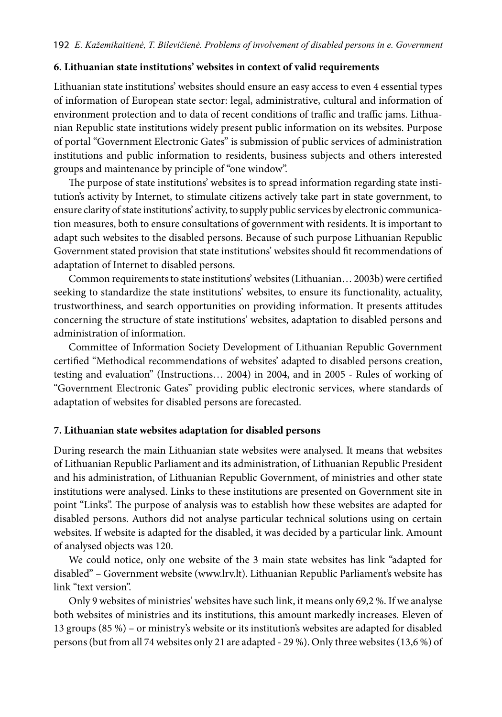## **6. Lithuanian state institutions' websites in context of valid requirements**

Lithuanian state institutions' websites should ensure an easy access to even 4 essential types of information of European state sector: legal, administrative, cultural and information of environment protection and to data of recent conditions of traffic and traffic jams. Lithuanian Republic state institutions widely present public information on its websites. Purpose of portal "Government Electronic Gates" is submission of public services of administration institutions and public information to residents, business subjects and others interested groups and maintenance by principle of "one window".

The purpose of state institutions' websites is to spread information regarding state institution's activity by Internet, to stimulate citizens actively take part in state government, to ensure clarity of state institutions' activity, to supply public services by electronic communication measures, both to ensure consultations of government with residents. It is important to adapt such websites to the disabled persons. Because of such purpose Lithuanian Republic Government stated provision that state institutions' websites should fit recommendations of adaptation of Internet to disabled persons.

Common requirements to state institutions' websites (Lithuanian… 2003b) were certified seeking to standardize the state institutions' websites, to ensure its functionality, actuality, trustworthiness, and search opportunities on providing information. It presents attitudes concerning the structure of state institutions' websites, adaptation to disabled persons and administration of information.

Committee of Information Society Development of Lithuanian Republic Government certified "Methodical recommendations of websites' adapted to disabled persons creation, testing and evaluation" (Instructions… 2004) in 2004, and in 2005 - Rules of working of "Government Electronic Gates" providing public electronic services, where standards of adaptation of websites for disabled persons are forecasted.

### **7. Lithuanian state websites adaptation for disabled persons**

During research the main Lithuanian state websites were analysed. It means that websites of Lithuanian Republic Parliament and its administration, of Lithuanian Republic President and his administration, of Lithuanian Republic Government, of ministries and other state institutions were analysed. Links to these institutions are presented on Government site in point "Links". The purpose of analysis was to establish how these websites are adapted for disabled persons. Authors did not analyse particular technical solutions using on certain websites. If website is adapted for the disabled, it was decided by a particular link. Amount of analysed objects was 120.

We could notice, only one website of the 3 main state websites has link "adapted for disabled" – Government website (www.lrv.lt). Lithuanian Republic Parliament's website has link "text version".

Only 9 websites of ministries' websites have such link, it means only 69,2 %. If we analyse both websites of ministries and its institutions, this amount markedly increases. Eleven of 13 groups (85 %) – or ministry's website or its institution's websites are adapted for disabled persons (but from all 74 websites only 21 are adapted - 29 %). Only three websites (13,6 %) of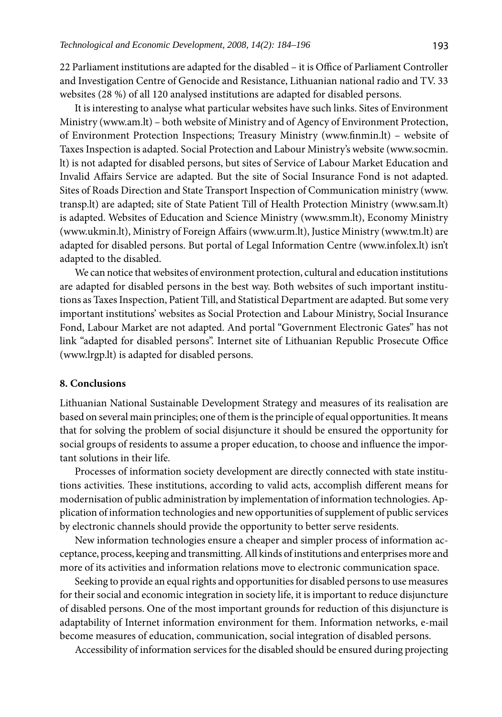22 Parliament institutions are adapted for the disabled – it is Office of Parliament Controller and Investigation Centre of Genocide and Resistance, Lithuanian national radio and TV. 33 websites (28 %) of all 120 analysed institutions are adapted for disabled persons.

It is interesting to analyse what particular websites have such links. Sites of Environment Ministry (www.am.lt) – both website of Ministry and of Agency of Environment Protection, of Environment Protection Inspections; Treasury Ministry (www.finmin.lt) – website of Taxes Inspection is adapted. Social Protection and Labour Ministry's website (www.socmin. lt) is not adapted for disabled persons, but sites of Service of Labour Market Education and Invalid Affairs Service are adapted. But the site of Social Insurance Fond is not adapted. Sites of Roads Direction and State Transport Inspection of Communication ministry (www. transp.lt) are adapted; site of State Patient Till of Health Protection Ministry (www.sam.lt) is adapted. Websites of Education and Science Ministry (www.smm.lt), Economy Ministry (www.ukmin.lt), Ministry of Foreign Affairs (www.urm.lt), Justice Ministry (www.tm.lt) are adapted for disabled persons. But portal of Legal Information Centre (www.infolex.lt) isn't adapted to the disabled.

We can notice that websites of environment protection, cultural and education institutions are adapted for disabled persons in the best way. Both websites of such important institutions as Taxes Inspection, Patient Till, and Statistical Department are adapted. But some very important institutions' websites as Social Protection and Labour Ministry, Social Insurance Fond, Labour Market are not adapted. And portal "Government Electronic Gates" has not link "adapted for disabled persons". Internet site of Lithuanian Republic Prosecute Office (www.lrgp.lt) is adapted for disabled persons.

### **8. Conclusions**

Lithuanian National Sustainable Development Strategy and measures of its realisation are based on several main principles; one of them is the principle of equal opportunities. It means that for solving the problem of social disjuncture it should be ensured the opportunity for social groups of residents to assume a proper education, to choose and influence the important solutions in their life.

Processes of information society development are directly connected with state institutions activities. These institutions, according to valid acts, accomplish different means for modernisation of public administration by implementation of information technologies. Application of information technologies and new opportunities of supplement of public services by electronic channels should provide the opportunity to better serve residents.

New information technologies ensure a cheaper and simpler process of information acceptance, process, keeping and transmitting. All kinds of institutions and enterprises more and more of its activities and information relations move to electronic communication space.

Seeking to provide an equal rights and opportunities for disabled persons to use measures for their social and economic integration in society life, it is important to reduce disjuncture of disabled persons. One of the most important grounds for reduction of this disjuncture is adaptability of Internet information environment for them. Information networks, e-mail become measures of education, communication, social integration of disabled persons.

Accessibility of information services for the disabled should be ensured during projecting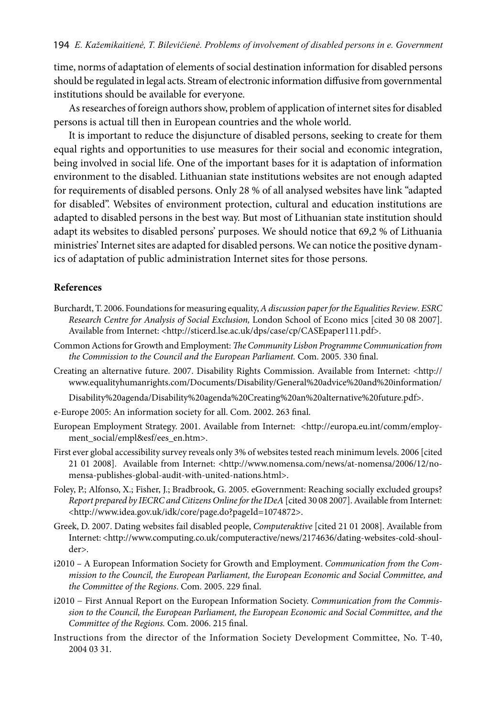time, norms of adaptation of elements of social destination information for disabled persons should be regulated in legal acts. Stream of electronic information diffusive from governmental institutions should be available for everyone.

As researches of foreign authors show, problem of application of internet sites for disabled persons is actual till then in European countries and the whole world.

It is important to reduce the disjuncture of disabled persons, seeking to create for them equal rights and opportunities to use measures for their social and economic integration, being involved in social life. One of the important bases for it is adaptation of information environment to the disabled. Lithuanian state institutions websites are not enough adapted for requirements of disabled persons. Only 28 % of all analysed websites have link "adapted for disabled". Websites of environment protection, cultural and education institutions are adapted to disabled persons in the best way. But most of Lithuanian state institution should adapt its websites to disabled persons' purposes. We should notice that 69,2 % of Lithuania ministries' Internet sites are adapted for disabled persons. We can notice the positive dynamics of adaptation of public administration Internet sites for those persons.

### **References**

- Burchardt, T. 2006. Foundations for measuring equality, *A discussion paper for the Equalities Review*. *ESRC Research Centre for Analysis of Social Exclusion,* London School of Econo mics [cited 30 08 2007]. Available from Internet: <http://sticerd.lse.ac.uk/dps/case/cp/CASEpaper111.pdf>.
- Common Actions for Growth and Employment: *The Community Lisbon Programme Communication from the Commission to the Council and the European Parliament.* Com. 2005. 330 final.
- Creating an alternative future. 2007. Disability Rights Commission. Available from Internet: <http:// www.equalityhumanrights.com/Documents/Disability/General%20advice%20and%20information/

Disability%20agenda/Disability%20agenda%20Creating%20an%20alternative%20future.pdf>.

- e-Europe 2005: An information society for all. Com. 2002. 263 final.
- European Employment Strategy. 2001. Available from Internet: <http://europa.eu.int/comm/employment\_social/empl&esf/ees\_en.htm>.
- First ever global accessibility survey reveals only 3% of websites tested reach minimum levels. 2006 [cited 21 01 2008]. Available from Internet: <http://www.nomensa.com/news/at-nomensa/2006/12/nomensa-publishes-global-audit-with-united-nations.html>.
- Foley, P.; Alfonso, X.; Fisher, J.; Bradbrook, G. 2005. eGovernment: Reaching socially excluded groups? *Report prepared by IECRC and Citizens Online for the IDeA* [cited 30 08 2007]. Available from Internet: <http://www.idea.gov.uk/idk/core/page.do?pageId=1074872>.
- Greek, D. 2007. Dating websites fail disabled people, *Computeraktive* [cited 21 01 2008]. Available from Internet: <http://www.computing.co.uk/computeractive/news/2174636/dating-websites-cold-shoulder>.
- i2010 A European Information Society for Growth and Employment. *Communication from the Commission to the Council, the European Parliament, the European Economic and Social Committee, and the Committee of the Regions*. Com. 2005. 229 final.
- i2010 − First Annual Report on the European Information Society. *Communication from the Commission to the Council, the European Parliament, the European Economic and Social Committee, and the Committee of the Regions.* Com. 2006. 215 final.
- Instructions from the director of the Information Society Development Committee, No. T-40, 2004 03 31.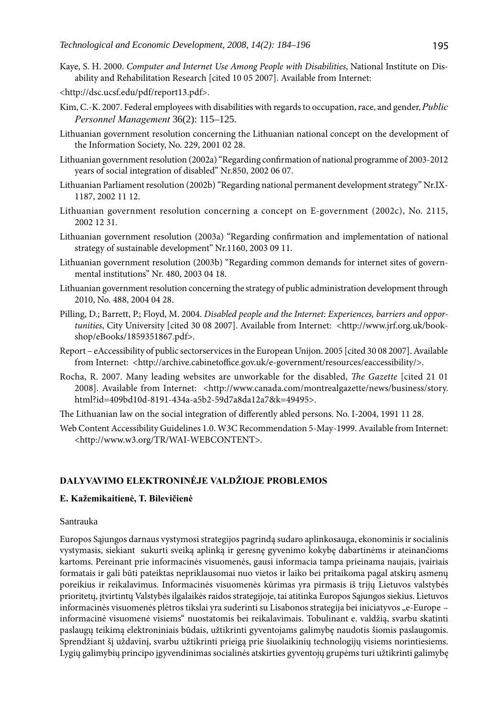- Kaye, S. H. 2000. *Computer and Internet Use Among People with Disabilities*, National Institute on Disability and Rehabilitation Research [cited 10 05 2007]. Available from Internet:
- <http://dsc.ucsf.edu/pdf/report13.pdf>.
- Kim, C.-K. 2007. Federal employees with disabilities with regards to occupation, race, and gender, *Public Personnel Management* 36(2): 115–125.
- Lithuanian government resolution concerning the Lithuanian national concept on the development of the Information Society, No. 229, 2001 02 28.
- Lithuanian government resolution (2002a) "Regarding confirmation of national programme of 2003-2012 years of social integration of disabled" Nr.850, 2002 06 07.
- Lithuanian Parliament resolution (2002b) "Regarding national permanent development strategy" Nr.IX-1187, 2002 11 12.
- Lithuanian government resolution concerning a concept on E-government (2002c), No. 2115, 2002 12 31.
- Lithuanian government resolution (2003a) "Regarding confirmation and implementation of national strategy of sustainable development" Nr.1160, 2003 09 11.
- Lithuanian government resolution (2003b) "Regarding common demands for internet sites of governmental institutions" Nr. 480, 2003 04 18.
- Lithuanian government resolution concerning the strategy of public administration development through 2010, No. 488, 2004 04 28.
- Pilling, D.; Barrett, P.; Floyd, M. 2004. *Disabled people and the Internet: Experiences, barriers and opportunities*, City University [cited 30 08 2007]. Available from Internet: <http://www.jrf.org.uk/bookshop/eBooks/1859351867.pdf>.
- Report eAccessibility of public sectorservices in the European Unijon. 2005 [cited 30 08 2007]. Available from Internet: <http://archive.cabinetoffice.gov.uk/e-government/resources/eaccessibility/>.
- Rocha, R. 2007. Many leading websites are unworkable for the disabled, *The Gazette* [cited 21 01 2008]. Available from Internet: <http://www.canada.com/montrealgazette/news/business/story. html?id=409bd10d-8191-434a-a5b2-59d7a8da12a7&k=49495>.
- The Lithuanian law on the social integration of differently abled persons. No. I-2004, 1991 11 28.
- Web Content Accessibility Guidelines 1.0. W3C Recommendation 5-May-1999. Available from Internet: <http://www.w3.org/TR/WAI-WEBCONTENT>.

# **DALYVAVIMO ELEKTRONINĖJE VALDŽIOJE PROBLEMOS**

#### **E. Kažemikaitienė, T. Bilevičienė**

#### Santrauka

Europos Sąjungos darnaus vystymosi strategijos pagrindą sudaro aplinkosauga, ekonominis ir socialinis vystymasis, siekiant sukurti sveiką aplinką ir geresnę gyvenimo kokybę dabartinėms ir ateinančioms kartoms. Pereinant prie informacinės visuomenės, gausi informacia tampa prieinama naujais, įvairiais formatais ir gali būti pateiktas nepriklausomai nuo vietos ir laiko bei pritaikoma pagal atskirų asmenų poreikius ir reikalavimus. Informacinės visuomenės kūrimas yra pirmasis iš trijų Lietuvos valstybės prioritetų, įtvirtintų Valstybės ilgalaikės raidos strategijoje, tai atitinka Europos Sąjungos siekius. Lietuvos informacinės visuomenės plėtros tikslai yra suderinti su Lisabonos strategija bei iniciatyvos "e-Europe – informacinė visuomenė visiems" nuostatomis bei reikalavimais. Tobulinant e. valdžią, svarbu skatinti paslaugų teikimą elektroniniais būdais, užtikrinti gyventojams galimybę naudotis šiomis paslaugomis. Sprendžiant šį uždavinį, svarbu užtikrinti prieigą prie šiuolaikinių technologijų visiems norintiesiems. Lygių galimybių principo įgyvendinimas socialinės atskirties gyventojų grupėms turi užtikrinti galimybę